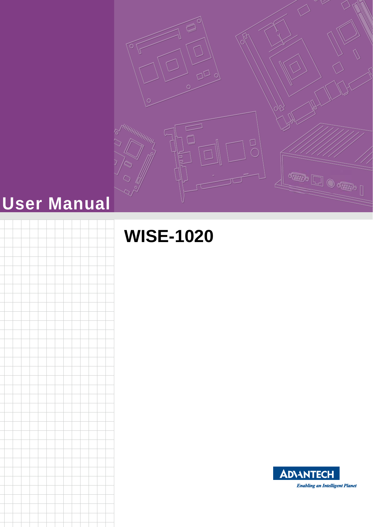

# **User Manual**

# **WISE-1020**

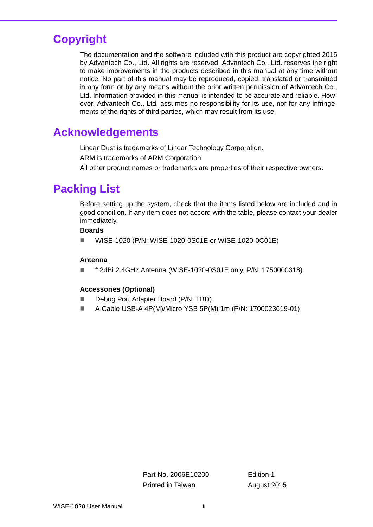## **Copyright**

The documentation and the software included with this product are copyrighted 2015 by Advantech Co., Ltd. All rights are reserved. Advantech Co., Ltd. reserves the right to make improvements in the products described in this manual at any time without notice. No part of this manual may be reproduced, copied, translated or transmitted in any form or by any means without the prior written permission of Advantech Co., Ltd. Information provided in this manual is intended to be accurate and reliable. However, Advantech Co., Ltd. assumes no responsibility for its use, nor for any infringements of the rights of third parties, which may result from its use.

## **Acknowledgements**

Linear Dust is trademarks of Linear Technology Corporation.

ARM is trademarks of ARM Corporation.

All other product names or trademarks are properties of their respective owners.

## **Packing List**

Before setting up the system, check that the items listed below are included and in good condition. If any item does not accord with the table, please contact your dealer immediately.

### **Boards**

■ WISE-1020 (P/N: WISE-1020-0S01E or WISE-1020-0C01E)

### **Antenna**

\* 2dBi 2.4GHz Antenna (WISE-1020-0S01E only, P/N: 1750000318)

### **Accessories (Optional)**

- Debug Port Adapter Board (P/N: TBD)
- $A$  Cable USB-A 4P(M)/Micro YSB 5P(M) 1m (P/N: 1700023619-01)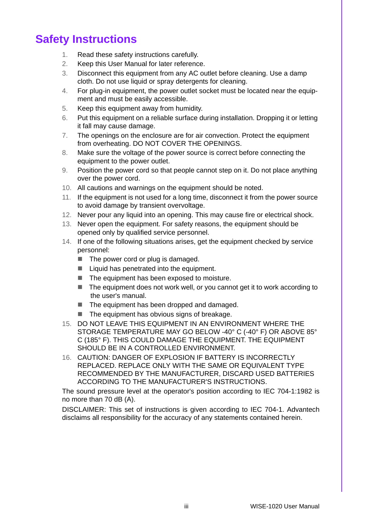## **Safety Instructions**

- 1. Read these safety instructions carefully.
- 2. Keep this User Manual for later reference.
- 3. Disconnect this equipment from any AC outlet before cleaning. Use a damp cloth. Do not use liquid or spray detergents for cleaning.
- 4. For plug-in equipment, the power outlet socket must be located near the equipment and must be easily accessible.
- 5. Keep this equipment away from humidity.
- 6. Put this equipment on a reliable surface during installation. Dropping it or letting it fall may cause damage.
- 7. The openings on the enclosure are for air convection. Protect the equipment from overheating. DO NOT COVER THE OPENINGS.
- 8. Make sure the voltage of the power source is correct before connecting the equipment to the power outlet.
- 9. Position the power cord so that people cannot step on it. Do not place anything over the power cord.
- 10. All cautions and warnings on the equipment should be noted.
- 11. If the equipment is not used for a long time, disconnect it from the power source to avoid damage by transient overvoltage.
- 12. Never pour any liquid into an opening. This may cause fire or electrical shock.
- 13. Never open the equipment. For safety reasons, the equipment should be opened only by qualified service personnel.
- 14. If one of the following situations arises, get the equipment checked by service personnel:
	- $\blacksquare$  The power cord or plug is damaged.
	- $\blacksquare$  Liquid has penetrated into the equipment.
	- The equipment has been exposed to moisture.
	- The equipment does not work well, or you cannot get it to work according to the user's manual.
	- The equipment has been dropped and damaged.
	- $\blacksquare$  The equipment has obvious signs of breakage.
- 15. DO NOT LEAVE THIS EQUIPMENT IN AN ENVIRONMENT WHERE THE STORAGE TEMPERATURE MAY GO BELOW -40° C (-40° F) OR ABOVE 85° C (185° F). THIS COULD DAMAGE THE EQUIPMENT. THE EQUIPMENT SHOULD BE IN A CONTROLLED ENVIRONMENT.
- 16. CAUTION: DANGER OF EXPLOSION IF BATTERY IS INCORRECTLY REPLACED. REPLACE ONLY WITH THE SAME OR EQUIVALENT TYPE RECOMMENDED BY THE MANUFACTURER, DISCARD USED BATTERIES ACCORDING TO THE MANUFACTURER'S INSTRUCTIONS.

The sound pressure level at the operator's position according to IEC 704-1:1982 is no more than 70 dB (A).

DISCLAIMER: This set of instructions is given according to IEC 704-1. Advantech disclaims all responsibility for the accuracy of any statements contained herein.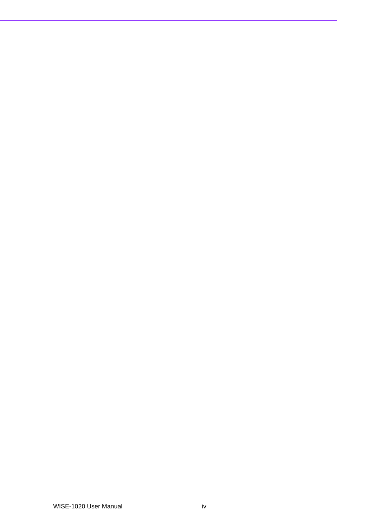WISE-1020 User Manual iversity and the state of the state of the state of the state of the state of the state of the state of the state of the state of the state of the state of the state of the state of the state of the s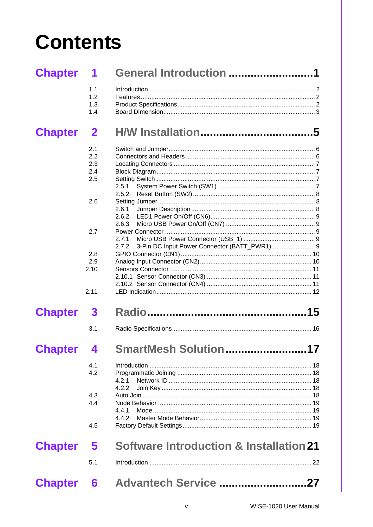# **Contents**

| <b>Chapter</b> | 1            | General Introduction 1                                |  |
|----------------|--------------|-------------------------------------------------------|--|
|                | 1.1          |                                                       |  |
|                | 1.2          |                                                       |  |
|                | 1.3          |                                                       |  |
|                | 1.4          |                                                       |  |
| <b>Chapter</b> | $\mathbf{2}$ |                                                       |  |
|                | 2.1          |                                                       |  |
|                | 2.2          |                                                       |  |
|                | 2.3          |                                                       |  |
|                | 2.4          |                                                       |  |
|                | 2.5          |                                                       |  |
|                |              | 2.5.1                                                 |  |
|                |              | 2.5.2                                                 |  |
|                | 2.6          |                                                       |  |
|                |              | 2.6.1                                                 |  |
|                |              | 2.6.2                                                 |  |
|                |              | 2.6.3                                                 |  |
|                | 2.7          |                                                       |  |
|                |              | 2.7.1                                                 |  |
|                |              | 3-Pin DC Input Power Connector (BATT_PWR1) 9<br>2.7.2 |  |
|                | 2.8          |                                                       |  |
|                | 2.9          |                                                       |  |
|                | 2.10         |                                                       |  |
|                |              |                                                       |  |
|                |              |                                                       |  |
|                | 2.11         |                                                       |  |
| <b>Chapter</b> | 3            |                                                       |  |
|                | 3.1          |                                                       |  |
| <b>Chapter</b> | 4            | <b>SmartMesh Solution17</b>                           |  |
|                | 4.1          |                                                       |  |
|                | 4.2          |                                                       |  |
|                |              | 4.2.1                                                 |  |
|                |              | 4.2.2                                                 |  |
|                | 4.3          |                                                       |  |
|                | 4.4          |                                                       |  |
|                |              | 4.4.1                                                 |  |
|                |              | 4.4.2                                                 |  |
|                | 4.5          |                                                       |  |
| <b>Chapter</b> | 5            | Software Introduction & Installation 21               |  |
|                | 5.1          |                                                       |  |
| <b>Chapter</b> | 6            | Advantech Service 27                                  |  |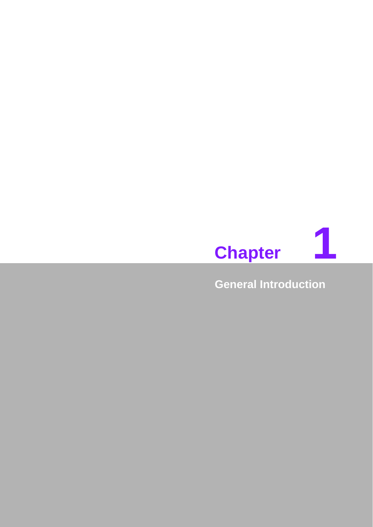

<span id="page-6-0"></span>**1General Introduction**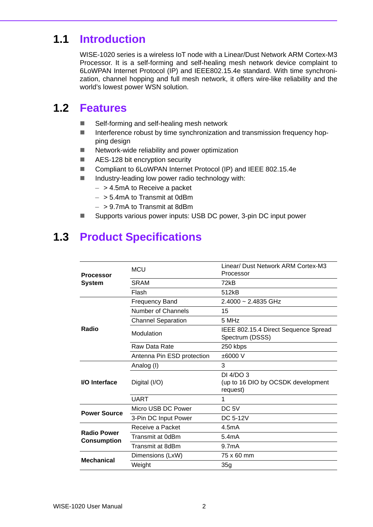## <span id="page-7-0"></span>**1.1 Introduction**

WISE-1020 series is a wireless IoT node with a Linear/Dust Network ARM Cortex-M3 Processor. It is a self-forming and self-healing mesh network device complaint to 6LoWPAN Internet Protocol (IP) and IEEE802.15.4e standard. With time synchronization, channel hopping and full mesh network, it offers wire-like reliability and the world's lowest power WSN solution.

## <span id="page-7-1"></span>**1.2 Features**

- Self-forming and self-healing mesh network
- Interference robust by time synchronization and transmission frequency hopping design
- Network-wide reliability and power optimization
- AES-128 bit encryption security
- Compliant to 6LoWPAN Internet Protocol (IP) and IEEE 802.15.4e
- Industry-leading low power radio technology with:
	- $-$  > 4.5mA to Receive a packet
	- $-$  > 5.4mA to Transmit at 0dBm
	- $-$  > 9.7mA to Transmit at 8dBm
- Supports various power inputs: USB DC power, 3-pin DC input power

## <span id="page-7-2"></span>**1.3 Product Specifications**

| <b>Processor</b>                         | <b>MCU</b>                 | Linear/ Dust Network ARM Cortex-M3<br>Processor               |
|------------------------------------------|----------------------------|---------------------------------------------------------------|
| <b>System</b>                            | <b>SRAM</b>                | 72kB                                                          |
|                                          | Flash                      | 512kB                                                         |
|                                          | <b>Frequency Band</b>      | $2.4000 - 2.4835$ GHz                                         |
|                                          | Number of Channels         | 15                                                            |
|                                          | <b>Channel Separation</b>  | 5 MHz                                                         |
| Radio                                    | Modulation                 | IEEE 802.15.4 Direct Sequence Spread<br>Spectrum (DSSS)       |
|                                          | Raw Data Rate              | 250 kbps                                                      |
|                                          | Antenna Pin ESD protection | $\pm 6000$ V                                                  |
|                                          | Analog (I)                 | 3                                                             |
| I/O Interface                            | Digital (I/O)              | $DI$ 4/DO 3<br>(up to 16 DIO by OCSDK development<br>request) |
|                                          | <b>UART</b>                | 1                                                             |
| <b>Power Source</b>                      | Micro USB DC Power         | DC <sub>5V</sub>                                              |
|                                          | 3-Pin DC Input Power       | DC 5-12V                                                      |
|                                          | Receive a Packet           | 4.5mA                                                         |
| <b>Radio Power</b><br><b>Consumption</b> | Transmit at 0dBm           | 5.4mA                                                         |
|                                          | Transmit at 8dBm           | 9.7 <sub>m</sub> A                                            |
| Mechanical                               | Dimensions (LxW)           | 75 x 60 mm                                                    |
|                                          | Weight                     | 35g                                                           |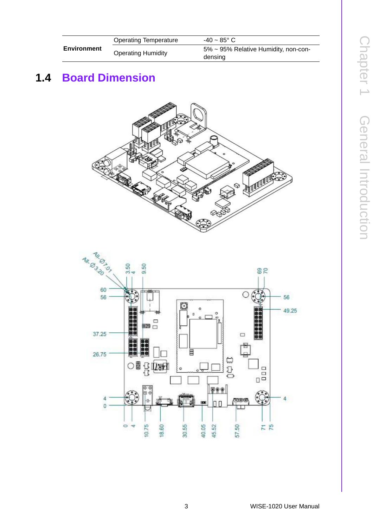|                    | <b>Operating Temperature</b> | $-40 \sim 85^{\circ}$ C                         |  |  |
|--------------------|------------------------------|-------------------------------------------------|--|--|
| <b>Environment</b> | <b>Operating Humidity</b>    | 5% ~ 95% Relative Humidity, non-con-<br>densing |  |  |

## <span id="page-8-0"></span>**1.4 Board Dimension**



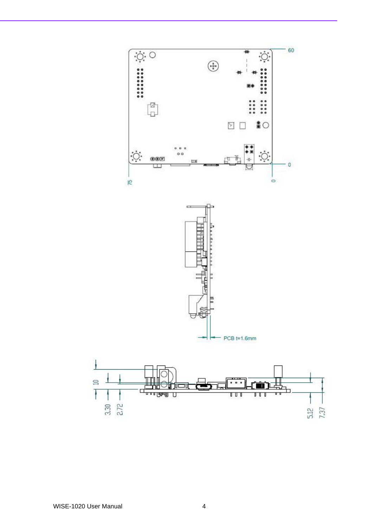



 $\frac{1}{2}$ 

Ŧ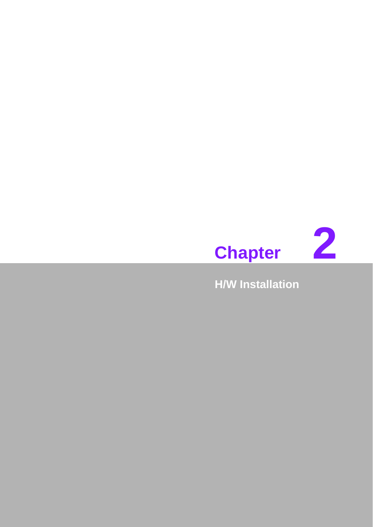

<span id="page-10-0"></span>**2H/W Installation**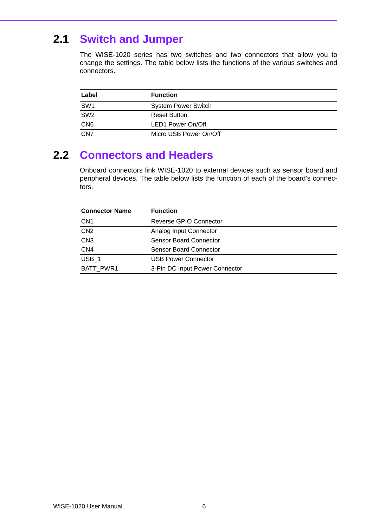## <span id="page-11-0"></span>**2.1 Switch and Jumper**

The WISE-1020 series has two switches and two connectors that allow you to change the settings. The table below lists the functions of the various switches and connectors.

| Label           | <b>Function</b>            |  |
|-----------------|----------------------------|--|
| SW <sub>1</sub> | <b>System Power Switch</b> |  |
| SW <sub>2</sub> | <b>Reset Button</b>        |  |
| CN <sub>6</sub> | LED1 Power On/Off          |  |
| CN <sub>7</sub> | Micro USB Power On/Off     |  |

## <span id="page-11-1"></span>**2.2 Connectors and Headers**

Onboard connectors link WISE-1020 to external devices such as sensor board and peripheral devices. The table below lists the function of each of the board's connectors.

| <b>Connector Name</b> | <b>Function</b>                |
|-----------------------|--------------------------------|
| CN <sub>1</sub>       | Reverse GPIO Connector         |
| CN <sub>2</sub>       | Analog Input Connector         |
| CN <sub>3</sub>       | <b>Sensor Board Connector</b>  |
| CN <sub>4</sub>       | <b>Sensor Board Connector</b>  |
| USB <sub>1</sub>      | <b>USB Power Connector</b>     |
| <b>BATT PWR1</b>      | 3-Pin DC Input Power Connector |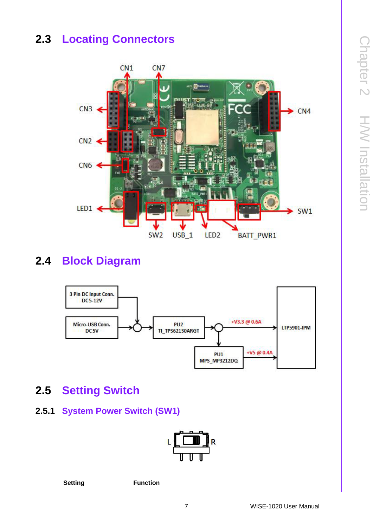## <span id="page-12-0"></span>**2.3 Locating Connectors**



## <span id="page-12-1"></span>**2.4 Block Diagram**



## <span id="page-12-2"></span>**2.5 Setting Switch**

### <span id="page-12-3"></span>**2.5.1 System Power Switch (SW1)**



```
Setting Function
```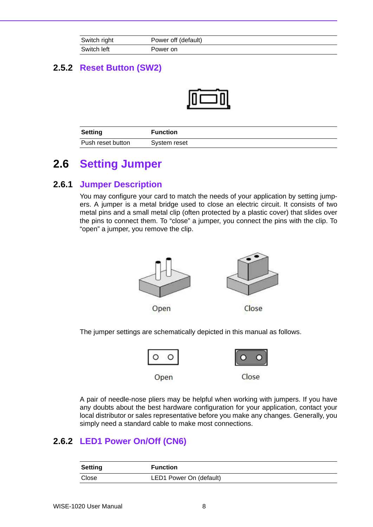| Switch right | Power off (default) |
|--------------|---------------------|
| Switch left  | Power on            |

### <span id="page-13-0"></span>**2.5.2 Reset Button (SW2)**



| <b>Setting</b>    | <b>Function</b> |
|-------------------|-----------------|
| Push reset button | System reset    |

## <span id="page-13-1"></span>**2.6 Setting Jumper**

### <span id="page-13-2"></span>**2.6.1 Jumper Description**

You may configure your card to match the needs of your application by setting jumpers. A jumper is a metal bridge used to close an electric circuit. It consists of two metal pins and a small metal clip (often protected by a plastic cover) that slides over the pins to connect them. To "close" a jumper, you connect the pins with the clip. To "open" a jumper, you remove the clip.



The jumper settings are schematically depicted in this manual as follows.



A pair of needle-nose pliers may be helpful when working with jumpers. If you have any doubts about the best hardware configuration for your application, contact your local distributor or sales representative before you make any changes. Generally, you simply need a standard cable to make most connections.

### <span id="page-13-3"></span>**2.6.2 LED1 Power On/Off (CN6)**

| <b>Setting</b> | <b>Function</b>         |
|----------------|-------------------------|
| Close          | LED1 Power On (default) |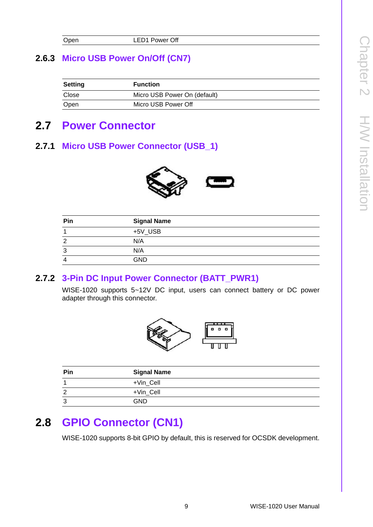## <span id="page-14-0"></span>**2.6.3 Micro USB Power On/Off (CN7)**

| <b>Setting</b> | <b>Function</b>              |  |
|----------------|------------------------------|--|
| Close          | Micro USB Power On (default) |  |
| Open           | Micro USB Power Off          |  |

## <span id="page-14-1"></span>**2.7 Power Connector**

### <span id="page-14-2"></span>**2.7.1 Micro USB Power Connector (USB\_1)**



| Pin | <b>Signal Name</b> |
|-----|--------------------|
|     | +5V_USB            |
| 2   | N/A                |
| 3   | N/A                |
| 4   | GND                |

### <span id="page-14-3"></span>**2.7.2 3-Pin DC Input Power Connector (BATT\_PWR1)**

WISE-1020 supports 5~12V DC input, users can connect battery or DC power adapter through this connector.



| Pin | <b>Signal Name</b> |
|-----|--------------------|
| и   | +Vin_Cell          |
| ⌒   | +Vin_Cell          |
| 3   | <b>GND</b>         |

## <span id="page-14-4"></span>**2.8 GPIO Connector (CN1)**

WISE-1020 supports 8-bit GPIO by default, this is reserved for OCSDK development.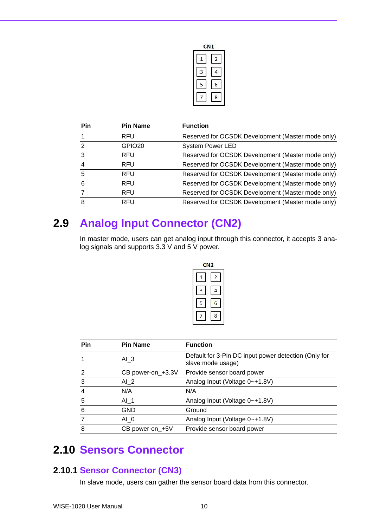| <b>Pin</b> | <b>Pin Name</b>    | <b>Function</b>                                   |
|------------|--------------------|---------------------------------------------------|
|            | <b>RFU</b>         | Reserved for OCSDK Development (Master mode only) |
|            | GPIO <sub>20</sub> | <b>System Power LED</b>                           |
|            | <b>RFU</b>         | Reserved for OCSDK Development (Master mode only) |
|            | <b>RFU</b>         | Reserved for OCSDK Development (Master mode only) |
| 5          | <b>RFU</b>         | Reserved for OCSDK Development (Master mode only) |
|            | <b>RFU</b>         | Reserved for OCSDK Development (Master mode only) |
|            | <b>RFU</b>         | Reserved for OCSDK Development (Master mode only) |
|            | <b>RFU</b>         | Reserved for OCSDK Development (Master mode only) |

## <span id="page-15-0"></span>**2.9 Analog Input Connector (CN2)**

In master mode, users can get analog input through this connector, it accepts 3 analog signals and supports 3.3 V and 5 V power.

| CN <sub>2</sub> |  |  |  |  |
|-----------------|--|--|--|--|
|                 |  |  |  |  |
|                 |  |  |  |  |
|                 |  |  |  |  |
|                 |  |  |  |  |

| Pin            | <b>Pin Name</b>   | <b>Function</b>                                                           |
|----------------|-------------------|---------------------------------------------------------------------------|
|                | AI 3              | Default for 3-Pin DC input power detection (Only for<br>slave mode usage) |
| 2              | CB power-on_+3.3V | Provide sensor board power                                                |
| 3              | $AI_2$            | Analog Input (Voltage 0~+1.8V)                                            |
| $\overline{4}$ | N/A               | N/A                                                                       |
| 5              | $AI_1$            | Analog Input (Voltage 0~+1.8V)                                            |
| 6              | <b>GND</b>        | Ground                                                                    |
|                | AI 0              | Analog Input (Voltage 0~+1.8V)                                            |
| 8              | CB power-on_+5V   | Provide sensor board power                                                |
|                |                   |                                                                           |

## <span id="page-15-1"></span>**2.10 Sensors Connector**

### <span id="page-15-2"></span>**2.10.1 Sensor Connector (CN3)**

In slave mode, users can gather the sensor board data from this connector.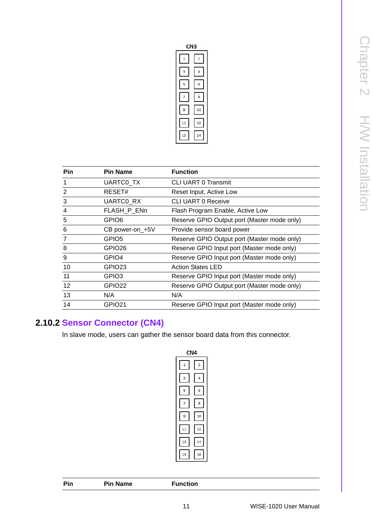| CN <sub>3</sub> |
|-----------------|
|                 |
|                 |
|                 |
|                 |
| 10              |
| 12              |
|                 |
|                 |

| Pin            | <b>Pin Name</b>    | <b>Function</b>                             |
|----------------|--------------------|---------------------------------------------|
| 1              | UARTCO_TX          | <b>CLI UART 0 Transmit</b>                  |
| $\overline{2}$ | RESET#             | Reset Input, Active Low                     |
| 3              | UARTCO_RX          | <b>CLI UART 0 Receive</b>                   |
| 4              | FLASH P ENn        | Flash Program Enable, Active Low            |
| 5              | GPIO6              | Reserve GPIO Output port (Master mode only) |
| 6              | CB power-on_+5V    | Provide sensor board power                  |
| $\overline{7}$ | GPIO <sub>5</sub>  | Reserve GPIO Output port (Master mode only) |
| 8              | GPIO <sub>26</sub> | Reserve GPIO Input port (Master mode only)  |
| 9              | GPIO4              | Reserve GPIO Input port (Master mode only)  |
| 10             | GPIO <sub>23</sub> | <b>Action States LED</b>                    |
| 11             | GPIO3              | Reserve GPIO Input port (Master mode only)  |
| 12             | GPIO <sub>22</sub> | Reserve GPIO Output port (Master mode only) |
| 13             | N/A                | N/A                                         |
| 14             | GPIO21             | Reserve GPIO Input port (Master mode only)  |

## <span id="page-16-0"></span>**2.10.2 Sensor Connector (CN4)**

In slave mode, users can gather the sensor board data from this connector.

| CN <sub>4</sub> |    |  |  |
|-----------------|----|--|--|
|                 |    |  |  |
|                 |    |  |  |
|                 |    |  |  |
|                 |    |  |  |
|                 | 10 |  |  |
|                 |    |  |  |
|                 |    |  |  |
|                 |    |  |  |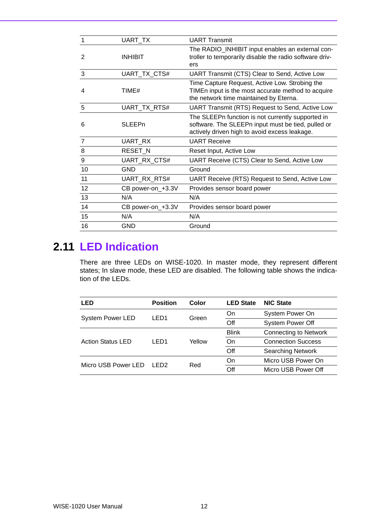| 1              | UART_TX           | <b>UART Transmit</b>                                                                                                                                     |
|----------------|-------------------|----------------------------------------------------------------------------------------------------------------------------------------------------------|
| $\overline{2}$ | <b>INHIBIT</b>    | The RADIO_INHIBIT input enables an external con-<br>troller to temporarily disable the radio software driv-<br>ers                                       |
| 3              | UART_TX_CTS#      | UART Transmit (CTS) Clear to Send, Active Low                                                                                                            |
| 4              | TIME#             | Time Capture Request, Active Low. Strobing the<br>TIMEn input is the most accurate method to acquire<br>the network time maintained by Eterna.           |
| 5              | UART_TX_RTS#      | UART Transmit (RTS) Request to Send, Active Low                                                                                                          |
| 6              | <b>SLEEPn</b>     | The SLEEPn function is not currently supported in<br>software. The SLEEPn input must be tied, pulled or<br>actively driven high to avoid excess leakage. |
| $\overline{7}$ | UART_RX           | <b>UART Receive</b>                                                                                                                                      |
| 8              | <b>RESET N</b>    | Reset Input, Active Low                                                                                                                                  |
| 9              | UART_RX_CTS#      | UART Receive (CTS) Clear to Send, Active Low                                                                                                             |
| 10             | <b>GND</b>        | Ground                                                                                                                                                   |
| 11             | UART_RX_RTS#      | UART Receive (RTS) Request to Send, Active Low                                                                                                           |
| 12             | CB power-on_+3.3V | Provides sensor board power                                                                                                                              |
| 13             | N/A               | N/A                                                                                                                                                      |
| 14             | CB power-on_+3.3V | Provides sensor board power                                                                                                                              |
| 15             | N/A               | N/A                                                                                                                                                      |
| 16             | <b>GND</b>        | Ground                                                                                                                                                   |

## <span id="page-17-0"></span>**2.11 LED Indication**

There are three LEDs on WISE-1020. In master mode, they represent different states; In slave mode, these LED are disabled. The following table shows the indication of the LEDs.

| <b>LED</b>               | <b>Position</b><br>Color |        | <b>LED State</b> | <b>NIC State</b>             |  |  |
|--------------------------|--------------------------|--------|------------------|------------------------------|--|--|
|                          | LED1                     | Green  | On               | System Power On              |  |  |
| <b>System Power LED</b>  |                          |        | Off              | <b>System Power Off</b>      |  |  |
|                          | LED1                     | Yellow | <b>Blink</b>     | <b>Connecting to Network</b> |  |  |
| <b>Action Status LED</b> |                          |        | On               | <b>Connection Success</b>    |  |  |
|                          |                          |        | Off              | <b>Searching Network</b>     |  |  |
| Micro USB Power LED      | LED <sub>2</sub>         | Red    | On               | Micro USB Power On           |  |  |
|                          |                          |        | Off              | Micro USB Power Off          |  |  |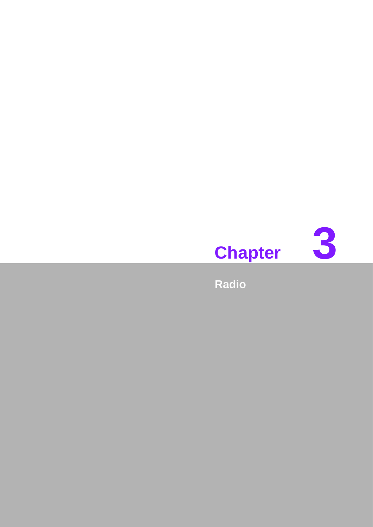

<span id="page-18-0"></span>**3Radio**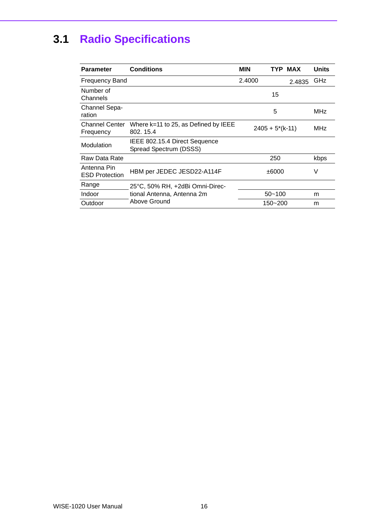## <span id="page-19-0"></span>**3.1 Radio Specifications**

| <b>Parameter</b>                     | <b>Conditions</b>                                       | MIN    | TYP               | MAX    | Units |
|--------------------------------------|---------------------------------------------------------|--------|-------------------|--------|-------|
| <b>Frequency Band</b>                |                                                         | 2.4000 |                   | 2.4835 | GHz   |
| Number of<br>Channels                |                                                         |        | 15                |        |       |
| Channel Sepa-<br>ration              |                                                         |        | 5                 |        | MHz   |
| <b>Channel Center</b><br>Frequency   | Where k=11 to 25, as Defined by IEEE<br>802.15.4        |        | $2405 + 5*(k-11)$ |        | MHz   |
| Modulation                           | IEEE 802.15.4 Direct Sequence<br>Spread Spectrum (DSSS) |        |                   |        |       |
| Raw Data Rate                        |                                                         |        | 250               |        | kbps  |
| Antenna Pin<br><b>ESD Protection</b> | HBM per JEDEC JESD22-A114F                              | ±6000  |                   |        | V     |
| Range                                | 25°C, 50% RH, +2dBi Omni-Direc-                         |        |                   |        |       |
| Indoor                               | tional Antenna, Antenna 2m                              |        | $50 - 100$        |        | m     |
| Outdoor                              | Above Ground                                            |        | 150~200           |        | m     |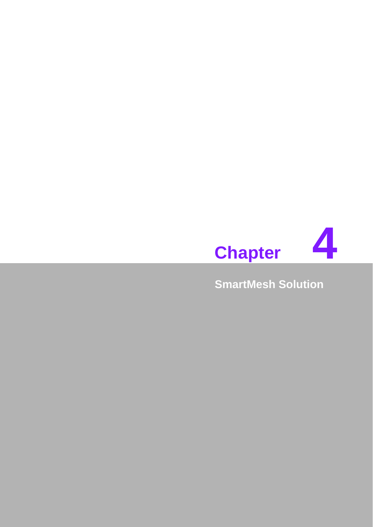

<span id="page-20-0"></span>**4SmartMesh Solution**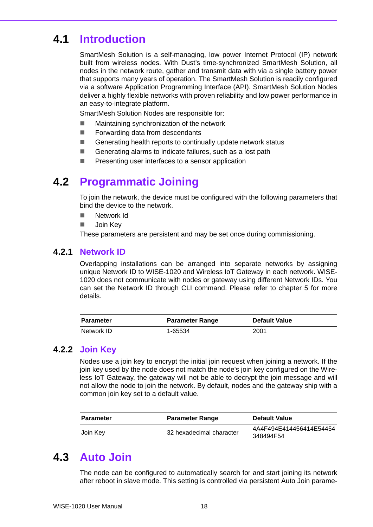## <span id="page-21-0"></span>**4.1 Introduction**

SmartMesh Solution is a self-managing, low power Internet Protocol (IP) network built from wireless nodes. With Dust's time-synchronized SmartMesh Solution, all nodes in the network route, gather and transmit data with via a single battery power that supports many years of operation. The SmartMesh Solution is readily configured via a software Application Programming Interface (API). SmartMesh Solution Nodes deliver a highly flexible networks with proven reliability and low power performance in an easy-to-integrate platform.

SmartMesh Solution Nodes are responsible for:

- Maintaining synchronization of the network
- Forwarding data from descendants
- Generating health reports to continually update network status
- Generating alarms to indicate failures, such as a lost path
- **Presenting user interfaces to a sensor application**

## <span id="page-21-1"></span>**4.2 Programmatic Joining**

To join the network, the device must be configured with the following parameters that bind the device to the network.

- **Network Id**
- Join Kev

These parameters are persistent and may be set once during commissioning.

### <span id="page-21-2"></span>**4.2.1 Network ID**

Overlapping installations can be arranged into separate networks by assigning unique Network ID to WISE-1020 and Wireless IoT Gateway in each network. WISE-1020 does not communicate with nodes or gateway using different Network IDs. You can set the Network ID through CLI command. Please refer to chapter 5 for more details.

| Parameter  | <b>Parameter Range</b> | <b>Default Value</b> |
|------------|------------------------|----------------------|
| Network ID | 1-65534                | 2001                 |

### <span id="page-21-3"></span>**4.2.2 Join Key**

Nodes use a join key to encrypt the initial join request when joining a network. If the join key used by the node does not match the node's join key configured on the Wireless IoT Gateway, the gateway will not be able to decrypt the join message and will not allow the node to join the network. By default, nodes and the gateway ship with a common join key set to a default value.

| <b>Parameter</b> | <b>Parameter Range</b>   | <b>Default Value</b>                 |
|------------------|--------------------------|--------------------------------------|
| Join Key         | 32 hexadecimal character | 4A4F494E414456414E54454<br>348494F54 |

### <span id="page-21-4"></span>**4.3 Auto Join**

The node can be configured to automatically search for and start joining its network after reboot in slave mode. This setting is controlled via persistent Auto Join parame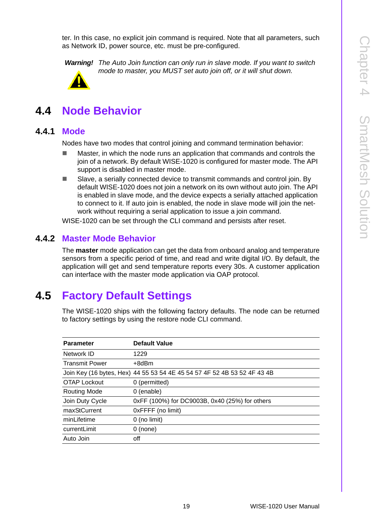ter. In this case, no explicit join command is required. Note that all parameters, such as Network ID, power source, etc. must be pre-configured.

*Warning! The Auto Join function can only run in slave mode. If you want to switch mode to master, you MUST set auto join off, or it will shut down.*



## <span id="page-22-0"></span>**4.4 Node Behavior**

### <span id="page-22-1"></span>**4.4.1 Mode**

Nodes have two modes that control joining and command termination behavior:

- Master, in which the node runs an application that commands and controls the join of a network. By default WISE-1020 is configured for master mode. The API support is disabled in master mode.
- Slave, a serially connected device to transmit commands and control join. By default WISE-1020 does not join a network on its own without auto join. The API is enabled in slave mode, and the device expects a serially attached application to connect to it. If auto join is enabled, the node in slave mode will join the network without requiring a serial application to issue a join command.

WISE-1020 can be set through the CLI command and persists after reset.

### <span id="page-22-2"></span>**4.4.2 Master Mode Behavior**

The **master** mode application can get the data from onboard analog and temperature sensors from a specific period of time, and read and write digital I/O. By default, the application will get and send temperature reports every 30s. A customer application can interface with the master mode application via OAP protocol.

## <span id="page-22-3"></span>**4.5 Factory Default Settings**

The WISE-1020 ships with the following factory defaults. The node can be returned to factory settings by using the restore node CLI command.

| <b>Parameter</b>      | <b>Default Value</b>                                                     |
|-----------------------|--------------------------------------------------------------------------|
| Network ID            | 1229                                                                     |
| <b>Transmit Power</b> | +8dBm                                                                    |
|                       | Join Key (16 bytes, Hex) 44 55 53 54 4E 45 54 57 4F 52 4B 53 52 4F 43 4B |
| <b>OTAP Lockout</b>   | 0 (permitted)                                                            |
| <b>Routing Mode</b>   | 0 (enable)                                                               |
| Join Duty Cycle       | 0xFF (100%) for DC9003B, 0x40 (25%) for others                           |
| maxStCurrent          | 0xFFFF (no limit)                                                        |
| minLifetime           | $0$ (no limit)                                                           |
| currentLimit          | $0$ (none)                                                               |
| Auto Join             | off                                                                      |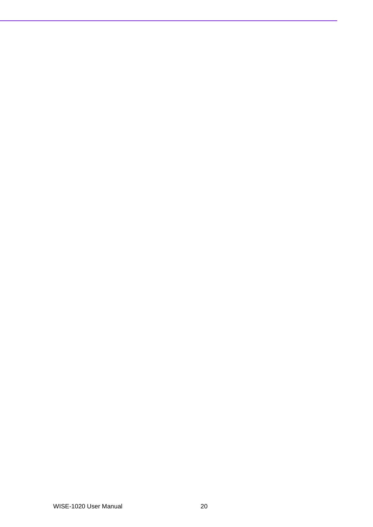WISE-1020 User Manual 20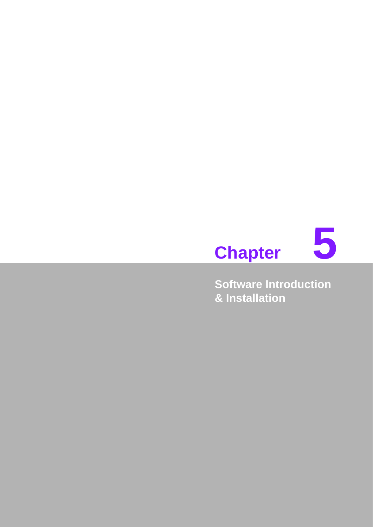

<span id="page-24-0"></span>**Software Introduction & Installation**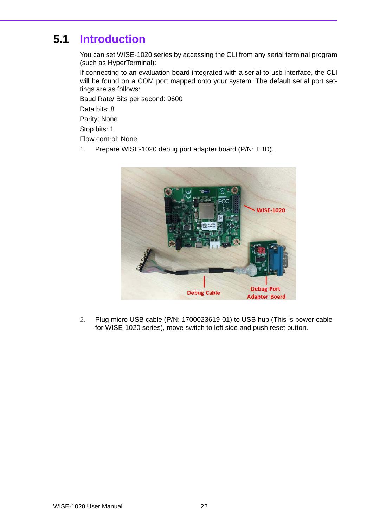## <span id="page-25-0"></span>**5.1 Introduction**

You can set WISE-1020 series by accessing the CLI from any serial terminal program (such as HyperTerminal):

If connecting to an evaluation board integrated with a serial-to-usb interface, the CLI will be found on a COM port mapped onto your system. The default serial port settings are as follows:

Baud Rate/ Bits per second: 9600

Data bits: 8

Parity: None

Stop bits: 1

Flow control: None

1. Prepare WISE-1020 debug port adapter board (P/N: TBD).



2. Plug micro USB cable (P/N: 1700023619-01) to USB hub (This is power cable for WISE-1020 series), move switch to left side and push reset button.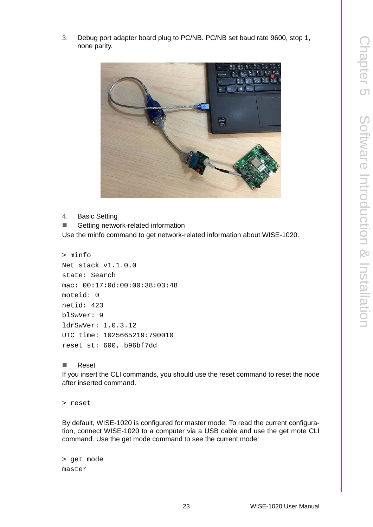3. Debug port adapter board plug to PC/NB. PC/NB set baud rate 9600, stop 1, none parity.



4. Basic Setting

Getting network-related information

Use the minfo command to get network-related information about WISE-1020.

```
> minfo
Net stack v1.1.0.0
state: Search
mac: 00:17:0d:00:00:38:03:48
moteid: 0
netid: 423
blSwVer: 9
ldrSwVer: 1.0.3.12
UTC time: 1025665219:790010
reset st: 600, b96bf7dd
```
#### **Reset**

If you insert the CLI commands, you should use the reset command to reset the node after inserted command.

> reset

By default, WISE-1020 is configured for master mode. To read the current configuration, connect WISE-1020 to a computer via a USB cable and use the get mote CLI command. Use the get mode command to see the current mode:

> get mode master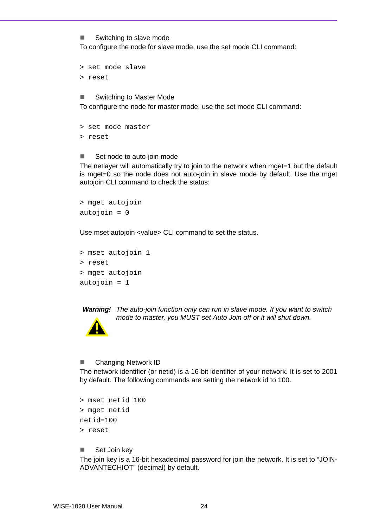■ Switching to slave mode

To configure the node for slave mode, use the set mode CLI command:

```
> set mode slave
> reset
```
Switching to Master Mode

To configure the node for master mode, use the set mode CLI command:

```
> set mode master
> reset
```
Set node to auto-join mode

The netlayer will automatically try to join to the network when mget=1 but the default is mget=0 so the node does not auto-join in slave mode by default. Use the mget autojoin CLI command to check the status:

```
> mget autojoin
autojoin = 0
```
Use mset autojoin <value> CLI command to set the status.

```
> mset autojoin 1
> reset
> mget autojoin
autojoin = 1
```


*Warning! The auto-join function only can run in slave mode. If you want to switch mode to master, you MUST set Auto Join off or it will shut down.*

#### Changing Network ID

The network identifier (or netid) is a 16-bit identifier of your network. It is set to 2001 by default. The following commands are setting the network id to 100.

```
> mset netid 100
> mget netid 
netid=100
> reset
```
#### Set Join key

The join key is a 16-bit hexadecimal password for join the network. It is set to "JOIN-ADVANTECHIOT" (decimal) by default.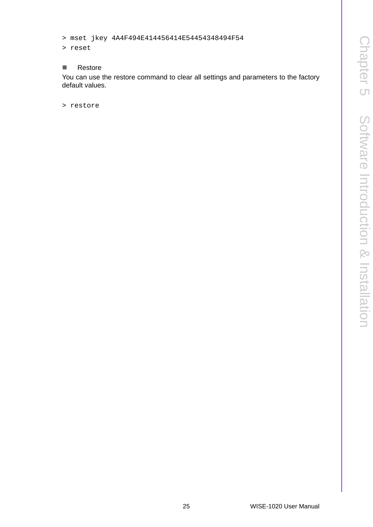> mset jkey 4A4F494E414456414E54454348494F54

> reset

#### **Restore**

You can use the restore command to clear all settings and parameters to the factory default values.

> restore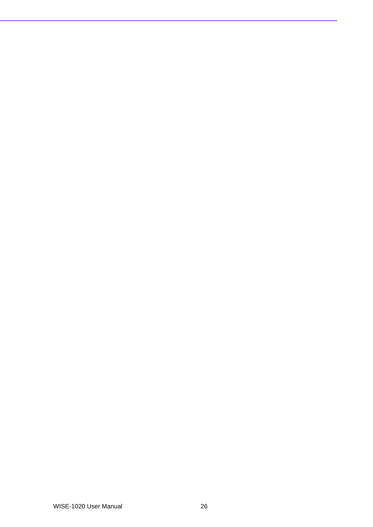WISE-1020 User Manual 26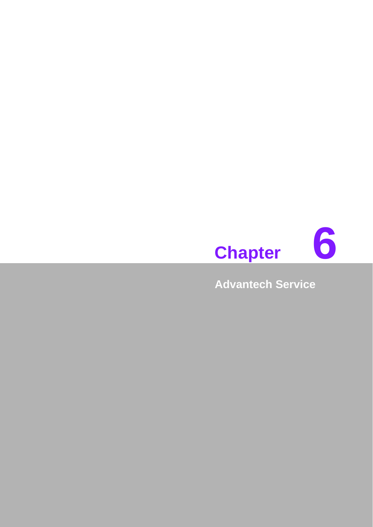

<span id="page-30-0"></span>**6Advantech Service**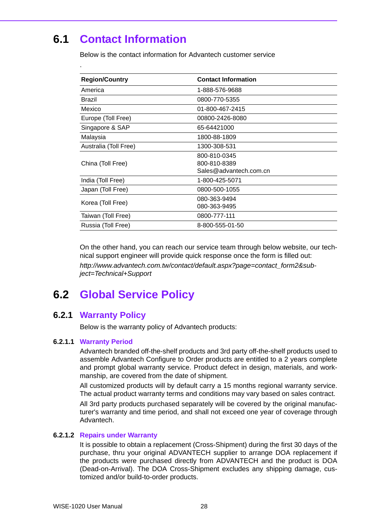## <span id="page-31-0"></span>**6.1 Contact Information**

.

Below is the contact information for Advantech customer service

| <b>Region/Country</b> | <b>Contact Information</b>                             |  |
|-----------------------|--------------------------------------------------------|--|
| America               | 1-888-576-9688                                         |  |
| Brazil                | 0800-770-5355                                          |  |
| Mexico                | 01-800-467-2415                                        |  |
| Europe (Toll Free)    | 00800-2426-8080                                        |  |
| Singapore & SAP       | 65-64421000                                            |  |
| Malaysia              | 1800-88-1809                                           |  |
| Australia (Toll Free) | 1300-308-531                                           |  |
| China (Toll Free)     | 800-810-0345<br>800-810-8389<br>Sales@advantech.com.cn |  |
| India (Toll Free)     | 1-800-425-5071                                         |  |
| Japan (Toll Free)     | 0800-500-1055                                          |  |
| Korea (Toll Free)     | 080-363-9494<br>080-363-9495                           |  |
| Taiwan (Toll Free)    | 0800-777-111                                           |  |
| Russia (Toll Free)    | 8-800-555-01-50                                        |  |

On the other hand, you can reach our service team through below website, our technical support engineer will provide quick response once the form is filled out: *http://www.advantech.com.tw/contact/default.aspx?page=contact\_form2&subject=Technical+Support*

## <span id="page-31-1"></span>**6.2 Global Service Policy**

### <span id="page-31-2"></span>**6.2.1 Warranty Policy**

Below is the warranty policy of Advantech products:

### **6.2.1.1 Warranty Period**

Advantech branded off-the-shelf products and 3rd party off-the-shelf products used to assemble Advantech Configure to Order products are entitled to a 2 years complete and prompt global warranty service. Product defect in design, materials, and workmanship, are covered from the date of shipment.

All customized products will by default carry a 15 months regional warranty service. The actual product warranty terms and conditions may vary based on sales contract.

All 3rd party products purchased separately will be covered by the original manufacturer's warranty and time period, and shall not exceed one year of coverage through Advantech.

### **6.2.1.2 Repairs under Warranty**

It is possible to obtain a replacement (Cross-Shipment) during the first 30 days of the purchase, thru your original ADVANTECH supplier to arrange DOA replacement if the products were purchased directly from ADVANTECH and the product is DOA (Dead-on-Arrival). The DOA Cross-Shipment excludes any shipping damage, customized and/or build-to-order products.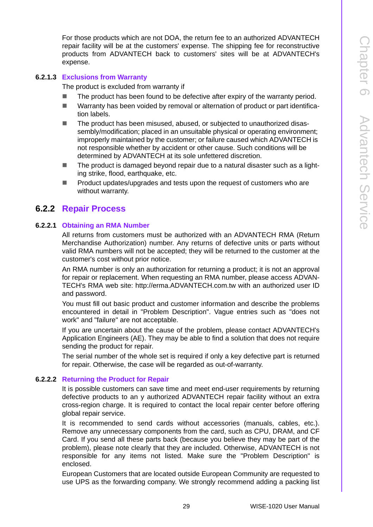For those products which are not DOA, the return fee to an authorized ADVANTECH repair facility will be at the customers' expense. The shipping fee for reconstructive products from ADVANTECH back to customers' sites will be at ADVANTECH's expense.

#### **6.2.1.3 Exclusions from Warranty**

The product is excluded from warranty if

- The product has been found to be defective after expiry of the warranty period.
- Warranty has been voided by removal or alternation of product or part identification labels.
- The product has been misused, abused, or subjected to unauthorized disassembly/modification; placed in an unsuitable physical or operating environment; improperly maintained by the customer; or failure caused which ADVANTECH is not responsible whether by accident or other cause. Such conditions will be determined by ADVANTECH at its sole unfettered discretion.
- The product is damaged beyond repair due to a natural disaster such as a lighting strike, flood, earthquake, etc.
- **Product updates/upgrades and tests upon the request of customers who are** without warranty.

### <span id="page-32-0"></span>**6.2.2 Repair Process**

### **6.2.2.1 Obtaining an RMA Number**

All returns from customers must be authorized with an ADVANTECH RMA (Return Merchandise Authorization) number. Any returns of defective units or parts without valid RMA numbers will not be accepted; they will be returned to the customer at the customer's cost without prior notice.

An RMA number is only an authorization for returning a product; it is not an approval for repair or replacement. When requesting an RMA number, please access ADVAN-TECH's RMA web site: http://erma.ADVANTECH.com.tw with an authorized user ID and password.

You must fill out basic product and customer information and describe the problems encountered in detail in "Problem Description". Vague entries such as "does not work" and "failure" are not acceptable.

If you are uncertain about the cause of the problem, please contact ADVANTECH's Application Engineers (AE). They may be able to find a solution that does not require sending the product for repair.

The serial number of the whole set is required if only a key defective part is returned for repair. Otherwise, the case will be regarded as out-of-warranty.

### **6.2.2.2 Returning the Product for Repair**

It is possible customers can save time and meet end-user requirements by returning defective products to an y authorized ADVANTECH repair facility without an extra cross-region charge. It is required to contact the local repair center before offering global repair service.

It is recommended to send cards without accessories (manuals, cables, etc.). Remove any unnecessary components from the card, such as CPU, DRAM, and CF Card. If you send all these parts back (because you believe they may be part of the problem), please note clearly that they are included. Otherwise, ADVANTECH is not responsible for any items not listed. Make sure the "Problem Description" is enclosed.

European Customers that are located outside European Community are requested to use UPS as the forwarding company. We strongly recommend adding a packing list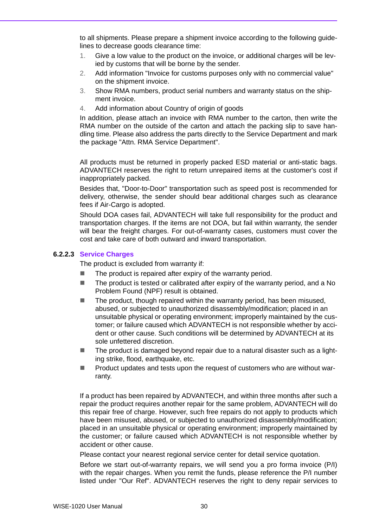to all shipments. Please prepare a shipment invoice according to the following guidelines to decrease goods clearance time:

- 1. Give a low value to the product on the invoice, or additional charges will be levied by customs that will be borne by the sender.
- 2. Add information "Invoice for customs purposes only with no commercial value" on the shipment invoice.
- 3. Show RMA numbers, product serial numbers and warranty status on the shipment invoice.
- 4. Add information about Country of origin of goods

In addition, please attach an invoice with RMA number to the carton, then write the RMA number on the outside of the carton and attach the packing slip to save handling time. Please also address the parts directly to the Service Department and mark the package "Attn. RMA Service Department".

All products must be returned in properly packed ESD material or anti-static bags. ADVANTECH reserves the right to return unrepaired items at the customer's cost if inappropriately packed.

Besides that, "Door-to-Door" transportation such as speed post is recommended for delivery, otherwise, the sender should bear additional charges such as clearance fees if Air-Cargo is adopted.

Should DOA cases fail, ADVANTECH will take full responsibility for the product and transportation charges. If the items are not DOA, but fail within warranty, the sender will bear the freight charges. For out-of-warranty cases, customers must cover the cost and take care of both outward and inward transportation.

#### **6.2.2.3 Service Charges**

The product is excluded from warranty if:

- The product is repaired after expiry of the warranty period.
- $\blacksquare$  The product is tested or calibrated after expiry of the warranty period, and a No Problem Found (NPF) result is obtained.
- The product, though repaired within the warranty period, has been misused, abused, or subjected to unauthorized disassembly/modification; placed in an unsuitable physical or operating environment; improperly maintained by the customer; or failure caused which ADVANTECH is not responsible whether by accident or other cause. Such conditions will be determined by ADVANTECH at its sole unfettered discretion.
- $\blacksquare$  The product is damaged beyond repair due to a natural disaster such as a lighting strike, flood, earthquake, etc.
- **Product updates and tests upon the request of customers who are without war**ranty.

If a product has been repaired by ADVANTECH, and within three months after such a repair the product requires another repair for the same problem, ADVANTECH will do this repair free of charge. However, such free repairs do not apply to products which have been misused, abused, or subjected to unauthorized disassembly/modification; placed in an unsuitable physical or operating environment; improperly maintained by the customer; or failure caused which ADVANTECH is not responsible whether by accident or other cause.

Please contact your nearest regional service center for detail service quotation.

Before we start out-of-warranty repairs, we will send you a pro forma invoice (P/I) with the repair charges. When you remit the funds, please reference the P/I number listed under "Our Ref". ADVANTECH reserves the right to deny repair services to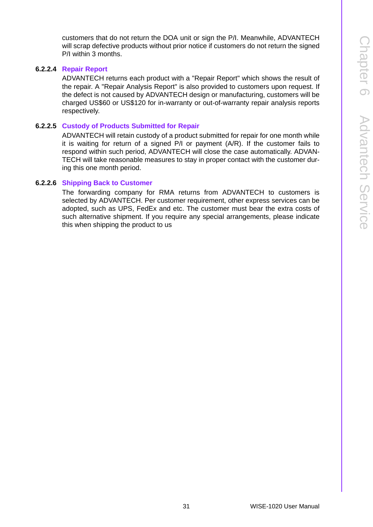customers that do not return the DOA unit or sign the P/I. Meanwhile, ADVANTECH will scrap defective products without prior notice if customers do not return the signed P/I within 3 months.

### **6.2.2.4 Repair Report**

ADVANTECH returns each product with a "Repair Report" which shows the result of the repair. A "Repair Analysis Report" is also provided to customers upon request. If the defect is not caused by ADVANTECH design or manufacturing, customers will be charged US\$60 or US\$120 for in-warranty or out-of-warranty repair analysis reports respectively.

#### **6.2.2.5 Custody of Products Submitted for Repair**

ADVANTECH will retain custody of a product submitted for repair for one month while it is waiting for return of a signed P/I or payment (A/R). If the customer fails to respond within such period, ADVANTECH will close the case automatically. ADVAN-TECH will take reasonable measures to stay in proper contact with the customer during this one month period.

#### **6.2.2.6 Shipping Back to Customer**

The forwarding company for RMA returns from ADVANTECH to customers is selected by ADVANTECH. Per customer requirement, other express services can be adopted, such as UPS, FedEx and etc. The customer must bear the extra costs of such alternative shipment. If you require any special arrangements, please indicate this when shipping the product to us